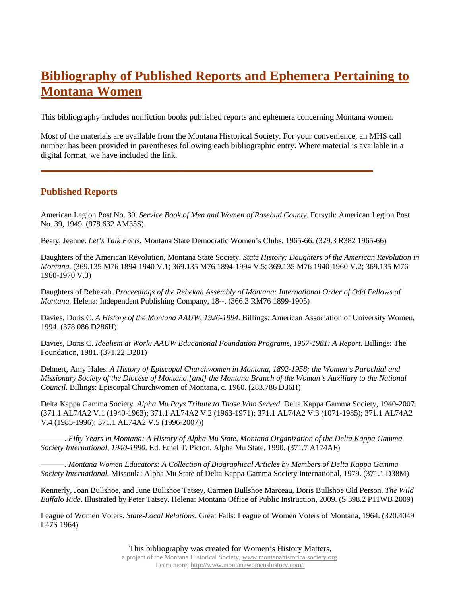## **Bibliography of Published Reports and Ephemera Pertaining to Montana Women**

This bibliography includes nonfiction books published reports and ephemera concerning Montana women.

Most of the materials are available from the Montana Historical Society. For your convenience, an MHS call number has been provided in parentheses following each bibliographic entry. Where material is available in a digital format, we have included the link.

**\_\_\_\_\_\_\_\_\_\_\_\_\_\_\_\_\_\_\_\_\_\_\_\_\_\_\_\_\_\_\_\_\_\_\_\_\_\_\_\_\_\_\_\_\_\_\_\_\_\_\_\_\_\_\_\_\_\_\_\_\_\_\_**

## **Published Reports**

American Legion Post No. 39. *Service Book of Men and Women of Rosebud County.* Forsyth: American Legion Post No. 39, 1949. (978.632 AM35S)

Beaty, Jeanne. *Let's Talk Facts.* Montana State Democratic Women's Clubs, 1965-66. (329.3 R382 1965-66)

Daughters of the American Revolution, Montana State Society. *State History: Daughters of the American Revolution in Montana.* (369.135 M76 1894-1940 V.1; 369.135 M76 1894-1994 V.5; 369.135 M76 1940-1960 V.2; 369.135 M76 1960-1970 V.3)

Daughters of Rebekah. *Proceedings of the Rebekah Assembly of Montana: International Order of Odd Fellows of Montana.* Helena: Independent Publishing Company, 18--. (366.3 RM76 1899-1905)

Davies, Doris C. *A History of the Montana AAUW, 1926-1994.* Billings: American Association of University Women, 1994. (378.086 D286H)

Davies, Doris C. *Idealism at Work: AAUW Educational Foundation Programs, 1967-1981: A Report.* Billings: The Foundation, 1981. (371.22 D281)

Dehnert, Amy Hales. *A History of Episcopal Churchwomen in Montana, 1892-1958; the Women's Parochial and Missionary Society of the Diocese of Montana [and] the Montana Branch of the Woman's Auxiliary to the National Council.* Billings: Episcopal Churchwomen of Montana, c. 1960. (283.786 D36H)

Delta Kappa Gamma Society*. Alpha Mu Pays Tribute to Those Who Served*. Delta Kappa Gamma Society, 1940-2007. (371.1 AL74A2 V.1 (1940-1963); 371.1 AL74A2 V.2 (1963-1971); 371.1 AL74A2 V.3 (1071-1985); 371.1 AL74A2 V.4 (1985-1996); 371.1 AL74A2 V.5 (1996-2007))

———. *Fifty Years in Montana: A History of Alpha Mu State, Montana Organization of the Delta Kappa Gamma Society International, 1940-1990.* Ed. Ethel T. Picton. Alpha Mu State, 1990. (371.7 A174AF)

———. *Montana Women Educators: A Collection of Biographical Articles by Members of Delta Kappa Gamma Society International.* Missoula: Alpha Mu State of Delta Kappa Gamma Society International, 1979. (371.1 D38M)

Kennerly, Joan Bullshoe, and June Bullshoe Tatsey, Carmen Bullshoe Marceau, Doris Bullshoe Old Person. *The Wild Buffalo Ride*. Illustrated by Peter Tatsey. Helena: Montana Office of Public Instruction, 2009. (S 398.2 P11WB 2009)

League of Women Voters. *State-Local Relations.* Great Falls: League of Women Voters of Montana, 1964. (320.4049 L47S 1964)

This bibliography was created for Women's History Matters,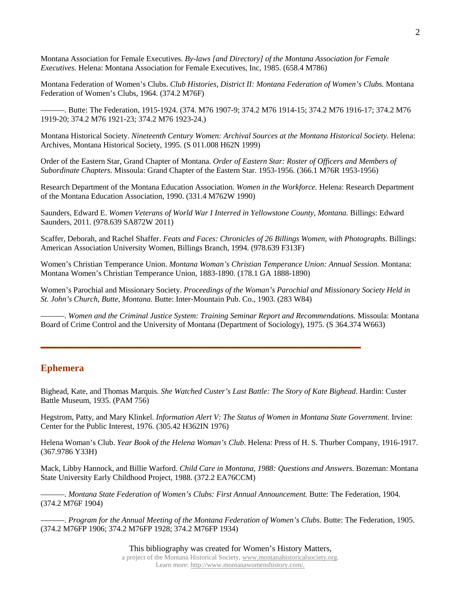Montana Association for Female Executives. *By-laws [and Directory] of the Montana Association for Female Executives.* Helena: Montana Association for Female Executives, Inc, 1985. (658.4 M786)

Montana Federation of Women's Clubs. *Club Histories, District II: Montana Federation of Women's Clubs.* Montana Federation of Women's Clubs, 1964. (374.2 M76F)

———. Butte: The Federation, 1915-1924. (374. M76 1907-9; 374.2 M76 1914-15; 374.2 M76 1916-17; 374.2 M76 1919-20; 374.2 M76 1921-23; 374.2 M76 1923-24.)

Montana Historical Society. *Nineteenth Century Women: Archival Sources at the Montana Historical Society.* Helena: Archives, Montana Historical Society, 1995. (S 011.008 H62N 1999)

Order of the Eastern Star, Grand Chapter of Montana. *Order of Eastern Star: Roster of Officers and Members of Subordinate Chapters*. Missoula: Grand Chapter of the Eastern Star. 1953-1956. (366.1 M76R 1953-1956)

Research Department of the Montana Education Association*. Women in the Workforce.* Helena: Research Department of the Montana Education Association, 1990. (331.4 M762W 1990)

Saunders, Edward E. *Women Veterans of World War I Interred in Yellowstone County, Montana.* Billings: Edward Saunders, 2011. (978.639 SA872W 2011)

Scaffer, Deborah, and Rachel Shaffer. *Feats and Faces: Chronicles of 26 Billings Women, with Photographs*. Billings: American Association University Women, Billings Branch, 1994. (978.639 F313F)

Women's Christian Temperance Union. *Montana Woman's Christian Temperance Union: Annual Session.* Montana: Montana Women's Christian Temperance Union, 1883-1890. (178.1 GA 1888-1890)

Women's Parochial and Missionary Society. *Proceedings of the Woman's Parochial and Missionary Society Held in St. John's Church, Butte, Montana.* Butte: Inter-Mountain Pub. Co., 1903. (283 W84)

———. *Women and the Criminal Justice System: Training Seminar Report and Recommendations.* Missoula: Montana Board of Crime Control and the University of Montana (Department of Sociology), 1975. (S 364.374 W663)

## **Ephemera**

Bighead, Kate, and Thomas Marquis. *She Watched Custer's Last Battle: The Story of Kate Bighead*. Hardin: Custer Battle Museum, 1935. (PAM 756)

**\_\_\_\_\_\_\_\_\_\_\_\_\_\_\_\_\_\_\_\_\_\_\_\_\_\_\_\_\_\_\_\_\_\_\_\_\_\_\_\_\_\_\_\_\_\_\_\_\_\_\_\_\_\_\_\_\_\_\_\_\_\_\_**

Hegstrom, Patty, and Mary Klinkel. *Information Alert V: The Status of Women in Montana State Government.* Irvine: Center for the Public Interest, 1976. (305.42 H362IN 1976)

Helena Woman's Club. *Year Book of the Helena Woman's Club*. Helena: Press of H. S. Thurber Company, 1916-1917. (367.9786 Y33H)

Mack, Libby Hannock, and Billie Warford. *Child Care in Montana, 1988: Questions and Answers.* Bozeman: Montana State University Early Childhood Project, 1988. (372.2 EA76CCM)

———. *Montana State Federation of Women's Clubs: First Annual Announcement.* Butte: The Federation, 1904. (374.2 M76F 1904)

———. *Program for the Annual Meeting of the Montana Federation of Women's Clubs.* Butte: The Federation, 1905. (374.2 M76FP 1906; 374.2 M76FP 1928; 374.2 M76FP 1934)

> This bibliography was created for Women's History Matters, a project of the Montana Historical Society, [www.montanahistoricalsociety.org.](http://www.montanahistoricalsociety.org/)